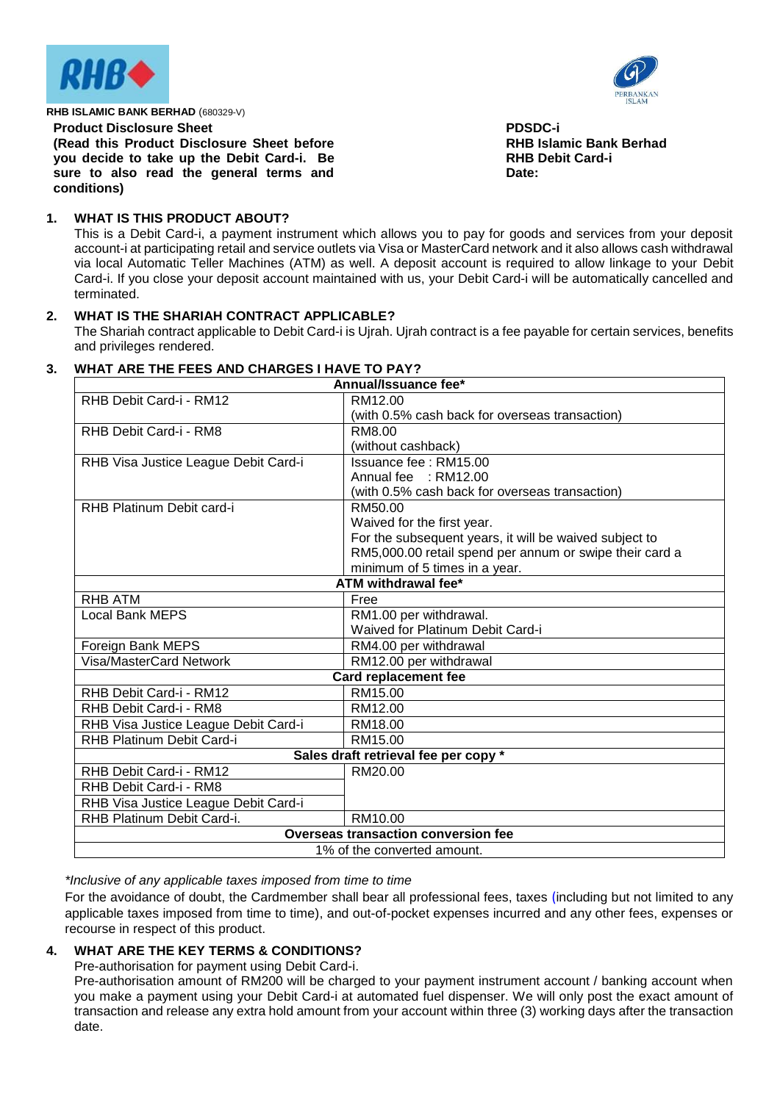



#### **Product Disclosure Sheet**

**(Read this Product Disclosure Sheet before you decide to take up the Debit Card-i. Be sure to also read the general terms and conditions)**

**PDSDC-i RHB Islamic Bank Berhad RHB Debit Card-i Date:**

# **1. WHAT IS THIS PRODUCT ABOUT?**

This is a Debit Card-i, a payment instrument which allows you to pay for goods and services from your deposit account-i at participating retail and service outlets via Visa or MasterCard network and it also allows cash withdrawal via local Automatic Teller Machines (ATM) as well. A deposit account is required to allow linkage to your Debit Card-i. If you close your deposit account maintained with us, your Debit Card-i will be automatically cancelled and terminated.

# **2. WHAT IS THE SHARIAH CONTRACT APPLICABLE?**

The Shariah contract applicable to Debit Card-i is Ujrah. Ujrah contract is a fee payable for certain services, benefits and privileges rendered.

| Annual/Issuance fee*                       |                                                         |  |
|--------------------------------------------|---------------------------------------------------------|--|
| RHB Debit Card-i - RM12                    | RM12.00                                                 |  |
|                                            | (with 0.5% cash back for overseas transaction)          |  |
| RHB Debit Card-i - RM8                     | RM8.00                                                  |  |
|                                            | (without cashback)                                      |  |
| RHB Visa Justice League Debit Card-i       | Issuance fee: RM15.00                                   |  |
|                                            | Annual fee : RM12.00                                    |  |
|                                            | (with 0.5% cash back for overseas transaction)          |  |
| RHB Platinum Debit card-i                  | RM50.00                                                 |  |
|                                            | Waived for the first year.                              |  |
|                                            | For the subsequent years, it will be waived subject to  |  |
|                                            | RM5,000.00 retail spend per annum or swipe their card a |  |
|                                            | minimum of 5 times in a year.                           |  |
| ATM withdrawal fee*                        |                                                         |  |
| <b>RHB ATM</b>                             | Free                                                    |  |
| <b>Local Bank MEPS</b>                     | RM1.00 per withdrawal.                                  |  |
|                                            | Waived for Platinum Debit Card-i                        |  |
| Foreign Bank MEPS                          | RM4.00 per withdrawal                                   |  |
| <b>Visa/MasterCard Network</b>             | RM12.00 per withdrawal                                  |  |
|                                            | <b>Card replacement fee</b>                             |  |
| RHB Debit Card-i - RM12                    | RM15.00                                                 |  |
| RHB Debit Card-i - RM8                     | RM12.00                                                 |  |
| RHB Visa Justice League Debit Card-i       | RM18.00                                                 |  |
| <b>RHB Platinum Debit Card-i</b>           | RM15.00                                                 |  |
| Sales draft retrieval fee per copy *       |                                                         |  |
| RHB Debit Card-i - RM12                    | RM20.00                                                 |  |
| RHB Debit Card-i - RM8                     |                                                         |  |
| RHB Visa Justice League Debit Card-i       |                                                         |  |
| RHB Platinum Debit Card-i.                 | RM10.00                                                 |  |
| <b>Overseas transaction conversion fee</b> |                                                         |  |
| 1% of the converted amount.                |                                                         |  |

# **3. WHAT ARE THE FEES AND CHARGES I HAVE TO PAY?**

*\*Inclusive of any applicable taxes imposed from time to time*

For the avoidance of doubt, the Cardmember shall bear all professional fees, taxes (including but not limited to any applicable taxes imposed from time to time), and out-of-pocket expenses incurred and any other fees, expenses or recourse in respect of this product.

# **4. WHAT ARE THE KEY TERMS & CONDITIONS?**

Pre-authorisation for payment using Debit Card-i.

Pre-authorisation amount of RM200 will be charged to your payment instrument account / banking account when you make a payment using your Debit Card-i at automated fuel dispenser. We will only post the exact amount of transaction and release any extra hold amount from your account within three (3) working days after the transaction date.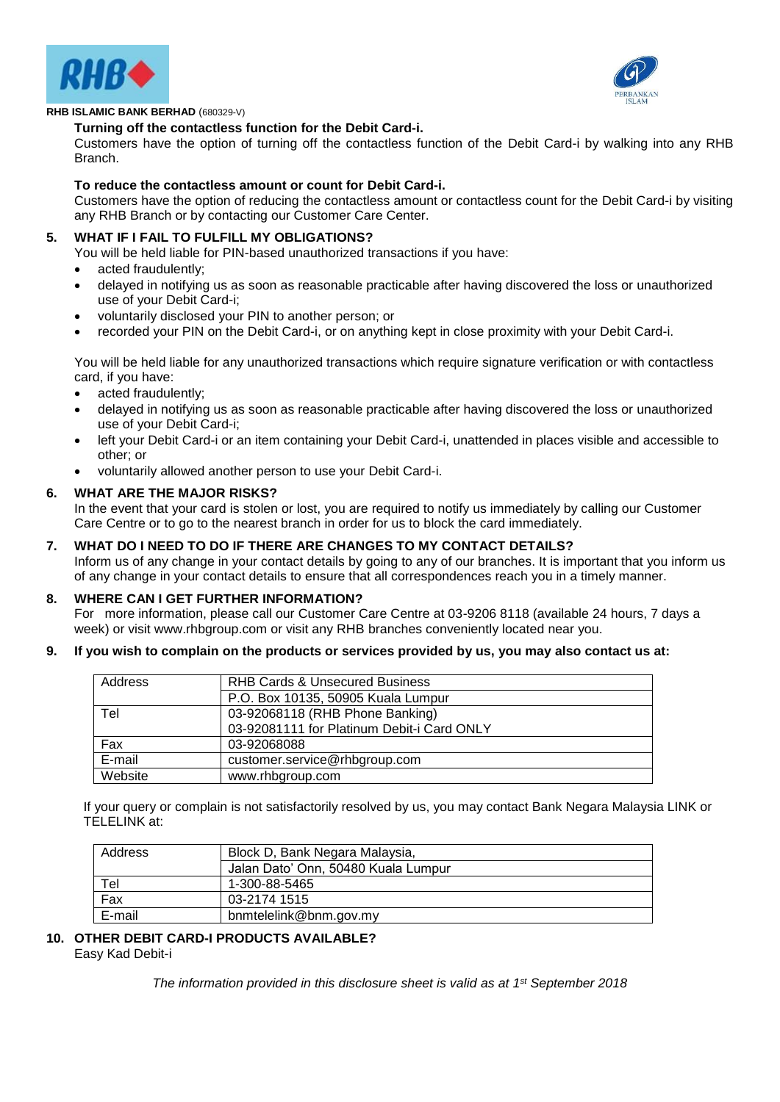



#### **Turning off the contactless function for the Debit Card-i.**

Customers have the option of turning off the contactless function of the Debit Card-i by walking into any RHB Branch.

#### **To reduce the contactless amount or count for Debit Card-i.**

Customers have the option of reducing the contactless amount or contactless count for the Debit Card-i by visiting any RHB Branch or by contacting our Customer Care Center.

# **5. WHAT IF I FAIL TO FULFILL MY OBLIGATIONS?**

- You will be held liable for PIN-based unauthorized transactions if you have:
- acted fraudulently;
- delayed in notifying us as soon as reasonable practicable after having discovered the loss or unauthorized use of your Debit Card-i;
- voluntarily disclosed your PIN to another person; or
- recorded your PIN on the Debit Card-i, or on anything kept in close proximity with your Debit Card-i.

You will be held liable for any unauthorized transactions which require signature verification or with contactless card, if you have:

- acted fraudulently;
- delayed in notifying us as soon as reasonable practicable after having discovered the loss or unauthorized use of your Debit Card-i;
- left your Debit Card-i or an item containing your Debit Card-i, unattended in places visible and accessible to other; or
- voluntarily allowed another person to use your Debit Card-i.

#### **6. WHAT ARE THE MAJOR RISKS?**

In the event that your card is stolen or lost, you are required to notify us immediately by calling our Customer Care Centre or to go to the nearest branch in order for us to block the card immediately.

# **7. WHAT DO I NEED TO DO IF THERE ARE CHANGES TO MY CONTACT DETAILS?**

Inform us of any change in your contact details by going to any of our branches. It is important that you inform us of any change in your contact details to ensure that all correspondences reach you in a timely manner.

#### **8. WHERE CAN I GET FURTHER INFORMATION?**

For more information, please call our Customer Care Centre at 03-9206 8118 (available 24 hours, 7 days a week) or visit www.rhbgroup.com or visit any RHB branches conveniently located near you.

**9. If you wish to complain on the products or services provided by us, you may also contact us at:**

| Address | <b>RHB Cards &amp; Unsecured Business</b>  |
|---------|--------------------------------------------|
|         | P.O. Box 10135, 50905 Kuala Lumpur         |
| Tel     | 03-92068118 (RHB Phone Banking)            |
|         | 03-92081111 for Platinum Debit-i Card ONLY |
| Fax     | 03-92068088                                |
| E-mail  | customer.service@rhbgroup.com              |
| Website | www.rhbgroup.com                           |

If your query or complain is not satisfactorily resolved by us, you may contact Bank Negara Malaysia LINK or TELELINK at:

| Address | Block D, Bank Negara Malaysia,      |
|---------|-------------------------------------|
|         | Jalan Dato' Onn, 50480 Kuala Lumpur |
| Tel     | 1-300-88-5465                       |
| Fax     | 03-2174 1515                        |
| E-mail  | bnmtelelink@bnm.gov.my              |

#### **10. OTHER DEBIT CARD-I PRODUCTS AVAILABLE?** Easy Kad Debit-i

*The information provided in this disclosure sheet is valid as at 1 st September 2018*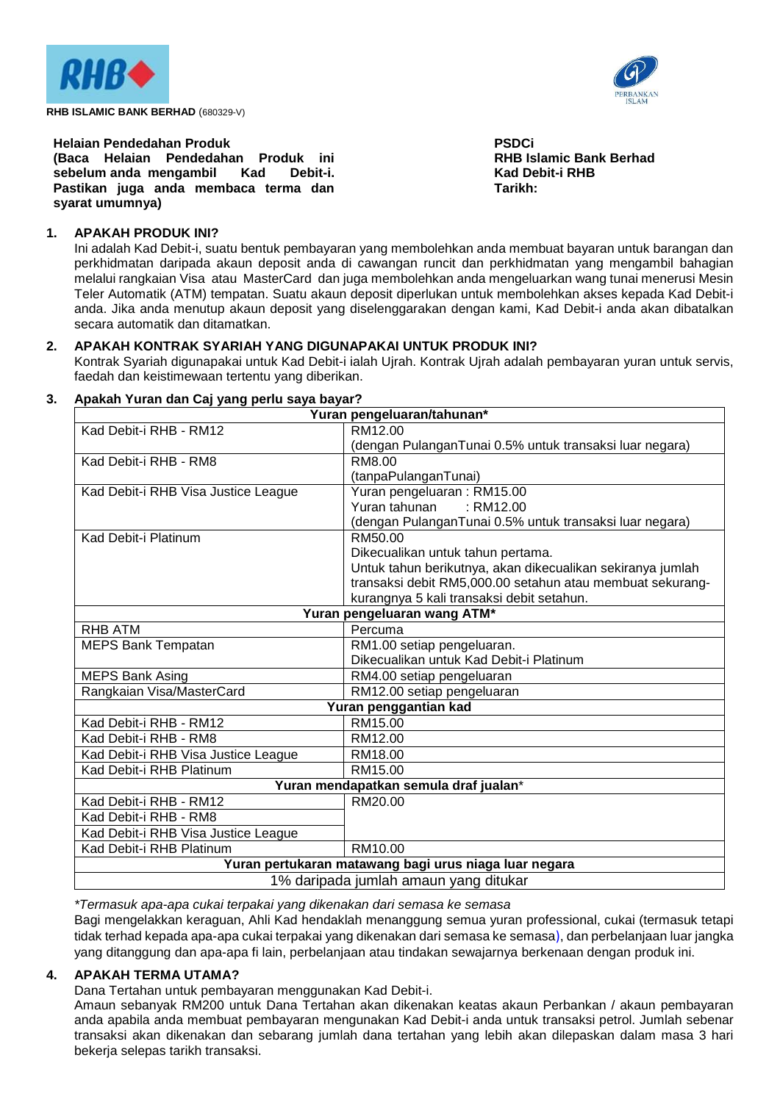



**Helaian Pendedahan Produk (Baca Helaian Pendedahan Produk ini sebelum anda mengambil Kad Debit-i. Pastikan juga anda membaca terma dan syarat umumnya)** 

**PSDCi RHB Islamic Bank Berhad Kad Debit-i RHB Tarikh:**

# **1. APAKAH PRODUK INI?**

Ini adalah Kad Debit-i, suatu bentuk pembayaran yang membolehkan anda membuat bayaran untuk barangan dan perkhidmatan daripada akaun deposit anda di cawangan runcit dan perkhidmatan yang mengambil bahagian melalui rangkaian Visa atau MasterCard dan juga membolehkan anda mengeluarkan wang tunai menerusi Mesin Teler Automatik (ATM) tempatan. Suatu akaun deposit diperlukan untuk membolehkan akses kepada Kad Debit-i anda. Jika anda menutup akaun deposit yang diselenggarakan dengan kami, Kad Debit-i anda akan dibatalkan secara automatik dan ditamatkan.

# **2. APAKAH KONTRAK SYARIAH YANG DIGUNAPAKAI UNTUK PRODUK INI?**

Kontrak Syariah digunapakai untuk Kad Debit-i ialah Ujrah. Kontrak Ujrah adalah pembayaran yuran untuk servis, faedah dan keistimewaan tertentu yang diberikan.

# **3. Apakah Yuran dan Caj yang perlu saya bayar?**

| Yuran pengeluaran/tahunan*                            |                                                            |  |
|-------------------------------------------------------|------------------------------------------------------------|--|
| Kad Debit-i RHB - RM12                                | RM12.00                                                    |  |
|                                                       | (dengan PulanganTunai 0.5% untuk transaksi luar negara)    |  |
| Kad Debit-i RHB - RM8                                 | RM8.00                                                     |  |
|                                                       | (tanpaPulanganTunai)                                       |  |
| Kad Debit-i RHB Visa Justice League                   | Yuran pengeluaran: RM15.00                                 |  |
|                                                       | Yuran tahunan<br>: RM12.00                                 |  |
|                                                       | (dengan PulanganTunai 0.5% untuk transaksi luar negara)    |  |
| Kad Debit-i Platinum                                  | RM50.00                                                    |  |
|                                                       | Dikecualikan untuk tahun pertama.                          |  |
|                                                       | Untuk tahun berikutnya, akan dikecualikan sekiranya jumlah |  |
|                                                       | transaksi debit RM5,000.00 setahun atau membuat sekurang-  |  |
|                                                       | kurangnya 5 kali transaksi debit setahun.                  |  |
|                                                       | Yuran pengeluaran wang ATM*                                |  |
| <b>RHB ATM</b>                                        | Percuma                                                    |  |
| <b>MEPS Bank Tempatan</b>                             | RM1.00 setiap pengeluaran.                                 |  |
|                                                       | Dikecualikan untuk Kad Debit-i Platinum                    |  |
| <b>MEPS Bank Asing</b>                                | RM4.00 setiap pengeluaran                                  |  |
| Rangkaian Visa/MasterCard                             | RM12.00 setiap pengeluaran                                 |  |
| Yuran penggantian kad                                 |                                                            |  |
| Kad Debit-i RHB - RM12                                | RM15.00                                                    |  |
| Kad Debit-i RHB - RM8                                 | RM12.00                                                    |  |
| Kad Debit-i RHB Visa Justice League                   | RM18.00                                                    |  |
| Kad Debit-i RHB Platinum                              | RM15.00                                                    |  |
| Yuran mendapatkan semula draf jualan*                 |                                                            |  |
| Kad Debit-i RHB - RM12                                | RM20.00                                                    |  |
| Kad Debit-i RHB - RM8                                 |                                                            |  |
| Kad Debit-i RHB Visa Justice League                   |                                                            |  |
| Kad Debit-i RHB Platinum                              | RM10.00                                                    |  |
| Yuran pertukaran matawang bagi urus niaga luar negara |                                                            |  |
| 1% daripada jumlah amaun yang ditukar                 |                                                            |  |
|                                                       |                                                            |  |

*\*Termasuk apa-apa cukai terpakai yang dikenakan dari semasa ke semasa* Bagi mengelakkan keraguan, Ahli Kad hendaklah menanggung semua yuran professional, cukai (termasuk tetapi tidak terhad kepada apa-apa cukai terpakai yang dikenakan dari semasa ke semasa), dan perbelanjaan luar jangka yang ditanggung dan apa-apa fi lain, perbelanjaan atau tindakan sewajarnya berkenaan dengan produk ini.

# **4. APAKAH TERMA UTAMA?**

Dana Tertahan untuk pembayaran menggunakan Kad Debit-i.

Amaun sebanyak RM200 untuk Dana Tertahan akan dikenakan keatas akaun Perbankan / akaun pembayaran anda apabila anda membuat pembayaran mengunakan Kad Debit-i anda untuk transaksi petrol. Jumlah sebenar transaksi akan dikenakan dan sebarang jumlah dana tertahan yang lebih akan dilepaskan dalam masa 3 hari bekerja selepas tarikh transaksi.